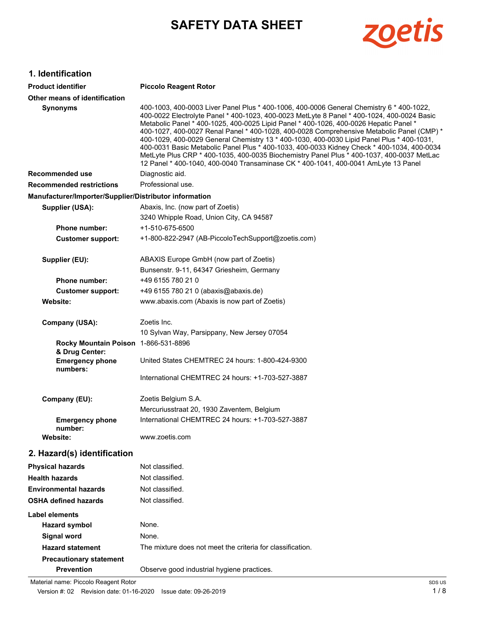# **SAFETY DATA SHEET**



## **1. Identification**

| <b>Product identifier</b>                              | <b>Piccolo Reagent Rotor</b>                                                                                                                                                                                                                                                                                                                                                                                                                                                                                                                                                                                                                                                                                                                               |  |
|--------------------------------------------------------|------------------------------------------------------------------------------------------------------------------------------------------------------------------------------------------------------------------------------------------------------------------------------------------------------------------------------------------------------------------------------------------------------------------------------------------------------------------------------------------------------------------------------------------------------------------------------------------------------------------------------------------------------------------------------------------------------------------------------------------------------------|--|
| Other means of identification                          |                                                                                                                                                                                                                                                                                                                                                                                                                                                                                                                                                                                                                                                                                                                                                            |  |
| <b>Synonyms</b>                                        | 400-1003, 400-0003 Liver Panel Plus * 400-1006, 400-0006 General Chemistry 6 * 400-1022,<br>400-0022 Electrolyte Panel * 400-1023, 400-0023 MetLyte 8 Panel * 400-1024, 400-0024 Basic<br>Metabolic Panel * 400-1025, 400-0025 Lipid Panel * 400-1026, 400-0026 Hepatic Panel *<br>400-1027, 400-0027 Renal Panel * 400-1028, 400-0028 Comprehensive Metabolic Panel (CMP) *<br>400-1029, 400-0029 General Chemistry 13 * 400-1030, 400-0030 Lipid Panel Plus * 400-1031.<br>400-0031 Basic Metabolic Panel Plus * 400-1033, 400-0033 Kidney Check * 400-1034, 400-0034<br>MetLyte Plus CRP * 400-1035, 400-0035 Biochemistry Panel Plus * 400-1037, 400-0037 MetLac<br>12 Panel * 400-1040, 400-0040 Transaminase CK * 400-1041, 400-0041 AmLyte 13 Panel |  |
| <b>Recommended use</b>                                 | Diagnostic aid.                                                                                                                                                                                                                                                                                                                                                                                                                                                                                                                                                                                                                                                                                                                                            |  |
| <b>Recommended restrictions</b>                        | Professional use.                                                                                                                                                                                                                                                                                                                                                                                                                                                                                                                                                                                                                                                                                                                                          |  |
| Manufacturer/Importer/Supplier/Distributor information |                                                                                                                                                                                                                                                                                                                                                                                                                                                                                                                                                                                                                                                                                                                                                            |  |
| Supplier (USA):                                        | Abaxis, Inc. (now part of Zoetis)                                                                                                                                                                                                                                                                                                                                                                                                                                                                                                                                                                                                                                                                                                                          |  |
|                                                        | 3240 Whipple Road, Union City, CA 94587                                                                                                                                                                                                                                                                                                                                                                                                                                                                                                                                                                                                                                                                                                                    |  |
| <b>Phone number:</b>                                   | +1-510-675-6500                                                                                                                                                                                                                                                                                                                                                                                                                                                                                                                                                                                                                                                                                                                                            |  |
| <b>Customer support:</b>                               | +1-800-822-2947 (AB-PiccoloTechSupport@zoetis.com)                                                                                                                                                                                                                                                                                                                                                                                                                                                                                                                                                                                                                                                                                                         |  |
| Supplier (EU):                                         | ABAXIS Europe GmbH (now part of Zoetis)                                                                                                                                                                                                                                                                                                                                                                                                                                                                                                                                                                                                                                                                                                                    |  |
|                                                        | Bunsenstr. 9-11, 64347 Griesheim, Germany                                                                                                                                                                                                                                                                                                                                                                                                                                                                                                                                                                                                                                                                                                                  |  |
| <b>Phone number:</b>                                   | +49 6155 780 210                                                                                                                                                                                                                                                                                                                                                                                                                                                                                                                                                                                                                                                                                                                                           |  |
| <b>Customer support:</b>                               | +49 6155 780 21 0 (abaxis@abaxis.de)                                                                                                                                                                                                                                                                                                                                                                                                                                                                                                                                                                                                                                                                                                                       |  |
| Website:                                               | www.abaxis.com (Abaxis is now part of Zoetis)                                                                                                                                                                                                                                                                                                                                                                                                                                                                                                                                                                                                                                                                                                              |  |
| Company (USA):                                         | Zoetis Inc.                                                                                                                                                                                                                                                                                                                                                                                                                                                                                                                                                                                                                                                                                                                                                |  |
|                                                        | 10 Sylvan Way, Parsippany, New Jersey 07054                                                                                                                                                                                                                                                                                                                                                                                                                                                                                                                                                                                                                                                                                                                |  |
| Rocky Mountain Poison 1-866-531-8896<br>& Drug Center: |                                                                                                                                                                                                                                                                                                                                                                                                                                                                                                                                                                                                                                                                                                                                                            |  |
| <b>Emergency phone</b><br>numbers:                     | United States CHEMTREC 24 hours: 1-800-424-9300                                                                                                                                                                                                                                                                                                                                                                                                                                                                                                                                                                                                                                                                                                            |  |
|                                                        | International CHEMTREC 24 hours: +1-703-527-3887                                                                                                                                                                                                                                                                                                                                                                                                                                                                                                                                                                                                                                                                                                           |  |
| Company (EU):                                          | Zoetis Belgium S.A.                                                                                                                                                                                                                                                                                                                                                                                                                                                                                                                                                                                                                                                                                                                                        |  |
|                                                        | Mercuriusstraat 20, 1930 Zaventem, Belgium                                                                                                                                                                                                                                                                                                                                                                                                                                                                                                                                                                                                                                                                                                                 |  |
| <b>Emergency phone</b><br>number:                      | International CHEMTREC 24 hours: +1-703-527-3887                                                                                                                                                                                                                                                                                                                                                                                                                                                                                                                                                                                                                                                                                                           |  |
| Website:                                               | www.zoetis.com                                                                                                                                                                                                                                                                                                                                                                                                                                                                                                                                                                                                                                                                                                                                             |  |
| 2. Hazard(s) identification                            |                                                                                                                                                                                                                                                                                                                                                                                                                                                                                                                                                                                                                                                                                                                                                            |  |
| <b>Physical hazards</b>                                | Not classified.                                                                                                                                                                                                                                                                                                                                                                                                                                                                                                                                                                                                                                                                                                                                            |  |
| <b>Health hazards</b>                                  | Not classified.                                                                                                                                                                                                                                                                                                                                                                                                                                                                                                                                                                                                                                                                                                                                            |  |
| <b>Environmental hazards</b>                           | Not classified.                                                                                                                                                                                                                                                                                                                                                                                                                                                                                                                                                                                                                                                                                                                                            |  |
| <b>OSHA defined hazards</b>                            | Not classified.                                                                                                                                                                                                                                                                                                                                                                                                                                                                                                                                                                                                                                                                                                                                            |  |
| Label elements                                         |                                                                                                                                                                                                                                                                                                                                                                                                                                                                                                                                                                                                                                                                                                                                                            |  |
| <b>Hazard symbol</b>                                   | None.                                                                                                                                                                                                                                                                                                                                                                                                                                                                                                                                                                                                                                                                                                                                                      |  |
| <b>Signal word</b>                                     | None.                                                                                                                                                                                                                                                                                                                                                                                                                                                                                                                                                                                                                                                                                                                                                      |  |
| <b>Hazard statement</b>                                | The mixture does not meet the criteria for classification.                                                                                                                                                                                                                                                                                                                                                                                                                                                                                                                                                                                                                                                                                                 |  |
| <b>Precautionary statement</b>                         |                                                                                                                                                                                                                                                                                                                                                                                                                                                                                                                                                                                                                                                                                                                                                            |  |
| <b>Prevention</b>                                      | Observe good industrial hygiene practices.                                                                                                                                                                                                                                                                                                                                                                                                                                                                                                                                                                                                                                                                                                                 |  |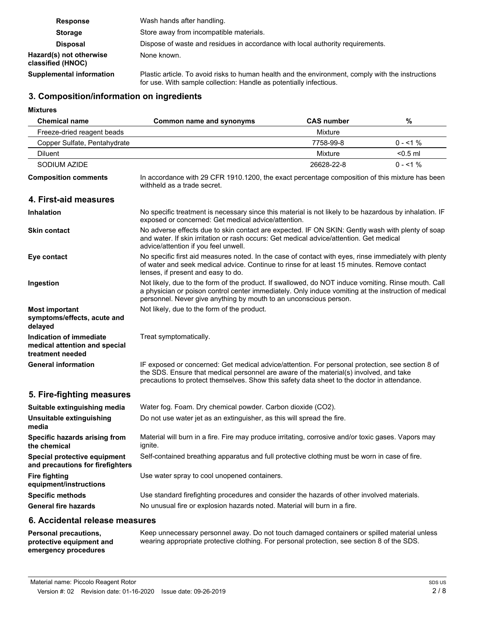| <b>Response</b>                              | Wash hands after handling.                                                                                                                                              |  |  |
|----------------------------------------------|-------------------------------------------------------------------------------------------------------------------------------------------------------------------------|--|--|
| <b>Storage</b>                               | Store away from incompatible materials.                                                                                                                                 |  |  |
| <b>Disposal</b>                              | Dispose of waste and residues in accordance with local authority requirements.                                                                                          |  |  |
| Hazard(s) not otherwise<br>classified (HNOC) | None known.                                                                                                                                                             |  |  |
| Supplemental information                     | Plastic article. To avoid risks to human health and the environment, comply with the instructions<br>for use. With sample collection: Handle as potentially infectious. |  |  |

## **3. Composition/information on ingredients**

**Mixtures**

| <b>Mixtures</b>                                                              |                                                                                                                                                                                                                                                                                           |                                                                                                |            |  |
|------------------------------------------------------------------------------|-------------------------------------------------------------------------------------------------------------------------------------------------------------------------------------------------------------------------------------------------------------------------------------------|------------------------------------------------------------------------------------------------|------------|--|
| <b>Chemical name</b>                                                         | Common name and synonyms                                                                                                                                                                                                                                                                  | <b>CAS number</b>                                                                              | %          |  |
| Freeze-dried reagent beads                                                   |                                                                                                                                                                                                                                                                                           | Mixture                                                                                        |            |  |
| Copper Sulfate, Pentahydrate                                                 |                                                                                                                                                                                                                                                                                           | 7758-99-8                                                                                      | $0 - 1\%$  |  |
| <b>Diluent</b>                                                               |                                                                                                                                                                                                                                                                                           | <b>Mixture</b>                                                                                 | $< 0.5$ ml |  |
| SODIUM AZIDE                                                                 |                                                                                                                                                                                                                                                                                           | 26628-22-8                                                                                     | $0 - 1\%$  |  |
| <b>Composition comments</b>                                                  | withheld as a trade secret.                                                                                                                                                                                                                                                               | In accordance with 29 CFR 1910.1200, the exact percentage composition of this mixture has been |            |  |
| 4. First-aid measures                                                        |                                                                                                                                                                                                                                                                                           |                                                                                                |            |  |
| Inhalation                                                                   | No specific treatment is necessary since this material is not likely to be hazardous by inhalation. IF<br>exposed or concerned: Get medical advice/attention.                                                                                                                             |                                                                                                |            |  |
| <b>Skin contact</b>                                                          | No adverse effects due to skin contact are expected. IF ON SKIN: Gently wash with plenty of soap<br>and water. If skin irritation or rash occurs: Get medical advice/attention. Get medical<br>advice/attention if you feel unwell.                                                       |                                                                                                |            |  |
| Eye contact                                                                  | No specific first aid measures noted. In the case of contact with eyes, rinse immediately with plenty<br>of water and seek medical advice. Continue to rinse for at least 15 minutes. Remove contact<br>lenses, if present and easy to do.                                                |                                                                                                |            |  |
| Ingestion                                                                    | Not likely, due to the form of the product. If swallowed, do NOT induce vomiting. Rinse mouth. Call<br>a physician or poison control center immediately. Only induce vomiting at the instruction of medical<br>personnel. Never give anything by mouth to an unconscious person.          |                                                                                                |            |  |
| <b>Most important</b><br>symptoms/effects, acute and<br>delayed              | Not likely, due to the form of the product.                                                                                                                                                                                                                                               |                                                                                                |            |  |
| Indication of immediate<br>medical attention and special<br>treatment needed | Treat symptomatically.                                                                                                                                                                                                                                                                    |                                                                                                |            |  |
| <b>General information</b>                                                   | IF exposed or concerned: Get medical advice/attention. For personal protection, see section 8 of<br>the SDS. Ensure that medical personnel are aware of the material(s) involved, and take<br>precautions to protect themselves. Show this safety data sheet to the doctor in attendance. |                                                                                                |            |  |
| 5. Fire-fighting measures                                                    |                                                                                                                                                                                                                                                                                           |                                                                                                |            |  |
| Suitable extinguishing media                                                 | Water fog. Foam. Dry chemical powder. Carbon dioxide (CO2).                                                                                                                                                                                                                               |                                                                                                |            |  |
| Unsuitable extinguishing                                                     | Do not use water jet as an extinguisher, as this will spread the fire.                                                                                                                                                                                                                    |                                                                                                |            |  |

| Unsuitable extinguishing<br>media                                | Do not use water jet as an extinguisher, as this will spread the fire.                                         |
|------------------------------------------------------------------|----------------------------------------------------------------------------------------------------------------|
| Specific hazards arising from<br>the chemical                    | Material will burn in a fire. Fire may produce irritating, corrosive and/or toxic gases. Vapors may<br>ignite. |
| Special protective equipment<br>and precautions for firefighters | Self-contained breathing apparatus and full protective clothing must be worn in case of fire.                  |
| Fire fighting<br>equipment/instructions                          | Use water spray to cool unopened containers.                                                                   |
| <b>Specific methods</b>                                          | Use standard firefighting procedures and consider the hazards of other involved materials.                     |
| <b>General fire hazards</b>                                      | No unusual fire or explosion hazards noted. Material will burn in a fire.                                      |

#### **6. Accidental release measures**

**Personal precautions, protective equipment and emergency procedures**

Keep unnecessary personnel away. Do not touch damaged containers or spilled material unless wearing appropriate protective clothing. For personal protection, see section 8 of the SDS.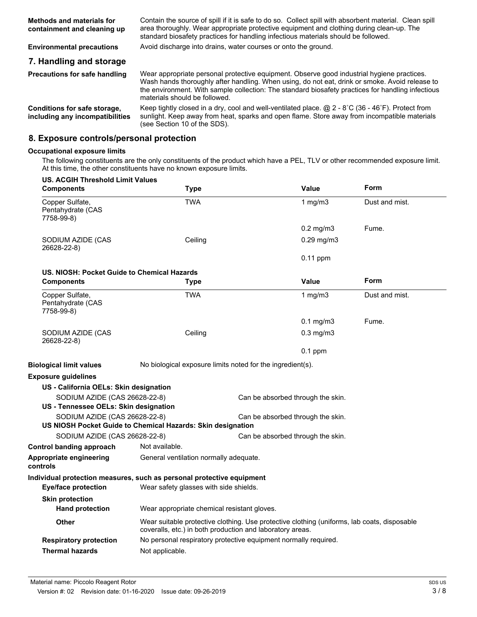| <b>Methods and materials for</b><br>containment and cleaning up | Contain the source of spill if it is safe to do so. Collect spill with absorbent material. Clean spill<br>area thoroughly. Wear appropriate protective equipment and clothing during clean-up. The<br>standard biosafety practices for handling infectious materials should be followed.                                           |  |
|-----------------------------------------------------------------|------------------------------------------------------------------------------------------------------------------------------------------------------------------------------------------------------------------------------------------------------------------------------------------------------------------------------------|--|
| <b>Environmental precautions</b>                                | Avoid discharge into drains, water courses or onto the ground.                                                                                                                                                                                                                                                                     |  |
| 7. Handling and storage                                         |                                                                                                                                                                                                                                                                                                                                    |  |
| <b>Precautions for safe handling</b>                            | Wear appropriate personal protective equipment. Observe good industrial hygiene practices.<br>Wash hands thoroughly after handling. When using, do not eat, drink or smoke. Avoid release to<br>the environment. With sample collection: The standard biosafety practices for handling infectious<br>materials should be followed. |  |
| Conditions for safe storage,<br>including any incompatibilities | Keep tightly closed in a dry, cool and well-ventilated place. $@$ 2 - 8°C (36 - 46°F). Protect from<br>sunlight. Keep away from heat, sparks and open flame. Store away from incompatible materials<br>(see Section 10 of the SDS).                                                                                                |  |

## **8. Exposure controls/personal protection**

#### **Occupational exposure limits**

The following constituents are the only constituents of the product which have a PEL, TLV or other recommended exposure limit. At this time, the other constituents have no known exposure limits.

| <b>US. ACGIH Threshold Limit Values</b><br><b>Components</b>                                                                      | Type                                                                                                                                                     |                                   | Value           | Form           |
|-----------------------------------------------------------------------------------------------------------------------------------|----------------------------------------------------------------------------------------------------------------------------------------------------------|-----------------------------------|-----------------|----------------|
| Copper Sulfate,<br>Pentahydrate (CAS<br>7758-99-8)                                                                                | TWA                                                                                                                                                      |                                   | 1 $mg/m3$       | Dust and mist. |
|                                                                                                                                   |                                                                                                                                                          |                                   | $0.2$ mg/m $3$  | Fume.          |
| SODIUM AZIDE (CAS<br>26628-22-8)                                                                                                  | Ceiling                                                                                                                                                  |                                   | $0.29$ mg/m $3$ |                |
|                                                                                                                                   |                                                                                                                                                          |                                   | $0.11$ ppm      |                |
| US. NIOSH: Pocket Guide to Chemical Hazards                                                                                       |                                                                                                                                                          |                                   |                 |                |
| <b>Components</b>                                                                                                                 | <b>Type</b>                                                                                                                                              |                                   | Value           | Form           |
| Copper Sulfate,<br>Pentahydrate (CAS<br>7758-99-8)                                                                                | TWA                                                                                                                                                      |                                   | 1 $mg/m3$       | Dust and mist. |
|                                                                                                                                   |                                                                                                                                                          |                                   | $0.1$ mg/m $3$  | Fume.          |
| SODIUM AZIDE (CAS<br>26628-22-8)                                                                                                  | Ceiling                                                                                                                                                  |                                   | $0.3$ mg/m $3$  |                |
|                                                                                                                                   |                                                                                                                                                          |                                   | $0.1$ ppm       |                |
| <b>Biological limit values</b>                                                                                                    | No biological exposure limits noted for the ingredient(s).                                                                                               |                                   |                 |                |
| <b>Exposure guidelines</b>                                                                                                        |                                                                                                                                                          |                                   |                 |                |
| US - California OELs: Skin designation                                                                                            |                                                                                                                                                          |                                   |                 |                |
| SODIUM AZIDE (CAS 26628-22-8)                                                                                                     |                                                                                                                                                          | Can be absorbed through the skin. |                 |                |
| US - Tennessee OELs: Skin designation                                                                                             |                                                                                                                                                          |                                   |                 |                |
| SODIUM AZIDE (CAS 26628-22-8)<br>Can be absorbed through the skin.<br>US NIOSH Pocket Guide to Chemical Hazards: Skin designation |                                                                                                                                                          |                                   |                 |                |
|                                                                                                                                   |                                                                                                                                                          |                                   |                 |                |
| SODIUM AZIDE (CAS 26628-22-8)                                                                                                     |                                                                                                                                                          | Can be absorbed through the skin. |                 |                |
| <b>Control banding approach</b>                                                                                                   | Not available.                                                                                                                                           |                                   |                 |                |
| Appropriate engineering<br>controls                                                                                               | General ventilation normally adequate.                                                                                                                   |                                   |                 |                |
| Individual protection measures, such as personal protective equipment<br><b>Eye/face protection</b>                               | Wear safety glasses with side shields.                                                                                                                   |                                   |                 |                |
| <b>Skin protection</b><br><b>Hand protection</b>                                                                                  | Wear appropriate chemical resistant gloves.                                                                                                              |                                   |                 |                |
| <b>Other</b>                                                                                                                      | Wear suitable protective clothing. Use protective clothing (uniforms, lab coats, disposable<br>coveralls, etc.) in both production and laboratory areas. |                                   |                 |                |
| <b>Respiratory protection</b>                                                                                                     | No personal respiratory protective equipment normally required.                                                                                          |                                   |                 |                |
| <b>Thermal hazards</b>                                                                                                            | Not applicable.                                                                                                                                          |                                   |                 |                |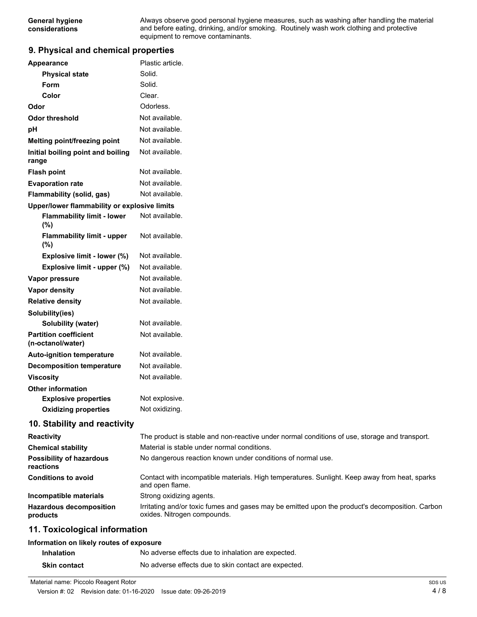Always observe good personal hygiene measures, such as washing after handling the material and before eating, drinking, and/or smoking. Routinely wash work clothing and protective equipment to remove contaminants.

### **9. Physical and chemical properties**

| <b>Appearance</b>                                 | Plastic article.                                                                                                               |
|---------------------------------------------------|--------------------------------------------------------------------------------------------------------------------------------|
| <b>Physical state</b>                             | Solid.                                                                                                                         |
| Form                                              | Solid.                                                                                                                         |
| Color                                             | Clear.                                                                                                                         |
| Odor                                              | Odorless.                                                                                                                      |
| <b>Odor threshold</b>                             | Not available.                                                                                                                 |
| pH                                                | Not available.                                                                                                                 |
| Melting point/freezing point                      | Not available.                                                                                                                 |
| Initial boiling point and boiling<br>range        | Not available.                                                                                                                 |
| <b>Flash point</b>                                | Not available.                                                                                                                 |
| <b>Evaporation rate</b>                           | Not available.                                                                                                                 |
| Flammability (solid, gas)                         | Not available.                                                                                                                 |
| Upper/lower flammability or explosive limits      |                                                                                                                                |
| <b>Flammability limit - lower</b><br>(%)          | Not available.                                                                                                                 |
| <b>Flammability limit - upper</b><br>(%)          | Not available.                                                                                                                 |
| Explosive limit - lower (%)                       | Not available.                                                                                                                 |
| Explosive limit - upper (%)                       | Not available.                                                                                                                 |
| Vapor pressure                                    | Not available.                                                                                                                 |
| <b>Vapor density</b>                              | Not available.                                                                                                                 |
| <b>Relative density</b>                           | Not available.                                                                                                                 |
| Solubility(ies)                                   |                                                                                                                                |
| <b>Solubility (water)</b>                         | Not available.                                                                                                                 |
| <b>Partition coefficient</b><br>(n-octanol/water) | Not available.                                                                                                                 |
| <b>Auto-ignition temperature</b>                  | Not available.                                                                                                                 |
| <b>Decomposition temperature</b>                  | Not available.                                                                                                                 |
| <b>Viscosity</b>                                  | Not available.                                                                                                                 |
| <b>Other information</b>                          |                                                                                                                                |
| <b>Explosive properties</b>                       | Not explosive.                                                                                                                 |
| <b>Oxidizing properties</b>                       | Not oxidizing.                                                                                                                 |
| 10. Stability and reactivity                      |                                                                                                                                |
| Reactivity                                        | The product is stable and non-reactive under normal conditions of use, storage and transport.                                  |
| <b>Chemical stability</b>                         | Material is stable under normal conditions.                                                                                    |
| <b>Possibility of hazardous</b><br>reactions      | No dangerous reaction known under conditions of normal use.                                                                    |
| <b>Conditions to avoid</b>                        | Contact with incompatible materials. High temperatures. Sunlight. Keep away from heat, sparks<br>and open flame.               |
| Incompatible materials                            | Strong oxidizing agents.                                                                                                       |
| <b>Hazardous decomposition</b><br>products        | Irritating and/or toxic fumes and gases may be emitted upon the product's decomposition. Carbon<br>oxides. Nitrogen compounds. |
| 11. Toxicological information                     |                                                                                                                                |

#### **Information on likely routes of exposure**

| <b>Inhalation</b>   | No adverse effects due to inhalation are expected.   |
|---------------------|------------------------------------------------------|
| <b>Skin contact</b> | No adverse effects due to skin contact are expected. |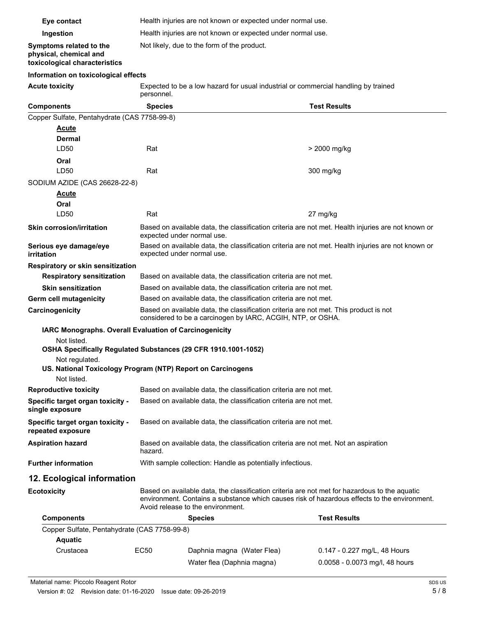| Eye contact                                                                        | Health injuries are not known or expected under normal use.                                                                                                                                   |                     |  |
|------------------------------------------------------------------------------------|-----------------------------------------------------------------------------------------------------------------------------------------------------------------------------------------------|---------------------|--|
| Ingestion                                                                          | Health injuries are not known or expected under normal use.                                                                                                                                   |                     |  |
| Symptoms related to the<br>physical, chemical and<br>toxicological characteristics | Not likely, due to the form of the product.                                                                                                                                                   |                     |  |
| Information on toxicological effects                                               |                                                                                                                                                                                               |                     |  |
| <b>Acute toxicity</b>                                                              | Expected to be a low hazard for usual industrial or commercial handling by trained<br>personnel.                                                                                              |                     |  |
| <b>Components</b>                                                                  | <b>Species</b>                                                                                                                                                                                | <b>Test Results</b> |  |
| Copper Sulfate, Pentahydrate (CAS 7758-99-8)                                       |                                                                                                                                                                                               |                     |  |
| <u>Acute</u>                                                                       |                                                                                                                                                                                               |                     |  |
| Dermal                                                                             |                                                                                                                                                                                               |                     |  |
| LD50                                                                               | Rat                                                                                                                                                                                           | > 2000 mg/kg        |  |
| Oral                                                                               |                                                                                                                                                                                               |                     |  |
| LD50                                                                               | Rat                                                                                                                                                                                           | 300 mg/kg           |  |
| SODIUM AZIDE (CAS 26628-22-8)                                                      |                                                                                                                                                                                               |                     |  |
| <u>Acute</u>                                                                       |                                                                                                                                                                                               |                     |  |
| Oral                                                                               |                                                                                                                                                                                               |                     |  |
| LD50                                                                               | Rat                                                                                                                                                                                           | 27 mg/kg            |  |
| <b>Skin corrosion/irritation</b>                                                   | Based on available data, the classification criteria are not met. Health injuries are not known or<br>expected under normal use.                                                              |                     |  |
| Serious eye damage/eye<br>irritation                                               | Based on available data, the classification criteria are not met. Health injuries are not known or<br>expected under normal use.                                                              |                     |  |
| Respiratory or skin sensitization                                                  |                                                                                                                                                                                               |                     |  |
| <b>Respiratory sensitization</b>                                                   | Based on available data, the classification criteria are not met.                                                                                                                             |                     |  |
| <b>Skin sensitization</b>                                                          | Based on available data, the classification criteria are not met.                                                                                                                             |                     |  |
| Germ cell mutagenicity                                                             | Based on available data, the classification criteria are not met.                                                                                                                             |                     |  |
| Carcinogenicity                                                                    | Based on available data, the classification criteria are not met. This product is not<br>considered to be a carcinogen by IARC, ACGIH, NTP, or OSHA.                                          |                     |  |
|                                                                                    | IARC Monographs. Overall Evaluation of Carcinogenicity                                                                                                                                        |                     |  |
| Not listed.<br>OSHA Specifically Regulated Substances (29 CFR 1910.1001-1052)      |                                                                                                                                                                                               |                     |  |
| Not regulated.                                                                     |                                                                                                                                                                                               |                     |  |
|                                                                                    | US. National Toxicology Program (NTP) Report on Carcinogens                                                                                                                                   |                     |  |
| Not listed.                                                                        |                                                                                                                                                                                               |                     |  |
| <b>Reproductive toxicity</b>                                                       | Based on available data, the classification criteria are not met.                                                                                                                             |                     |  |
| Specific target organ toxicity -<br>single exposure                                | Based on available data, the classification criteria are not met.                                                                                                                             |                     |  |
| Specific target organ toxicity -<br>repeated exposure                              | Based on available data, the classification criteria are not met.                                                                                                                             |                     |  |
| <b>Aspiration hazard</b>                                                           | Based on available data, the classification criteria are not met. Not an aspiration<br>hazard.                                                                                                |                     |  |
| <b>Further information</b>                                                         | With sample collection: Handle as potentially infectious.                                                                                                                                     |                     |  |
| 12. Ecological information                                                         |                                                                                                                                                                                               |                     |  |
| <b>Ecotoxicity</b>                                                                 | Based on available data, the classification criteria are not met for hazardous to the aquatic<br>environment. Contains a substance which causes risk of hazardous effects to the environment. |                     |  |

|                                              |                                       | Avoid release to the environment. |                                |  |  |
|----------------------------------------------|---------------------------------------|-----------------------------------|--------------------------------|--|--|
| <b>Components</b>                            | <b>Species</b><br><b>Test Results</b> |                                   |                                |  |  |
| Copper Sulfate, Pentahydrate (CAS 7758-99-8) |                                       |                                   |                                |  |  |
| <b>Aquatic</b>                               |                                       |                                   |                                |  |  |
| Crustacea                                    | EC50                                  | Daphnia magna (Water Flea)        | 0.147 - 0.227 mg/L, 48 Hours   |  |  |
|                                              |                                       | Water flea (Daphnia magna)        | 0.0058 - 0.0073 mg/l, 48 hours |  |  |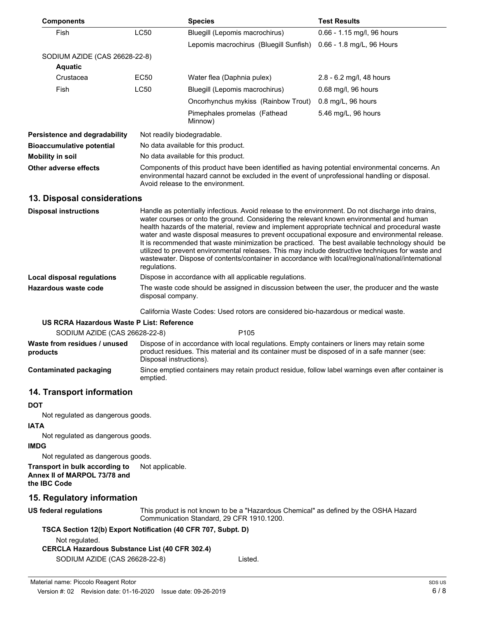| <b>Components</b>                    |                                                                                                                                                                                                                                     | <b>Species</b>                          | <b>Test Results</b>        |
|--------------------------------------|-------------------------------------------------------------------------------------------------------------------------------------------------------------------------------------------------------------------------------------|-----------------------------------------|----------------------------|
| Fish                                 | <b>LC50</b>                                                                                                                                                                                                                         | Bluegill (Lepomis macrochirus)          | 0.66 - 1.15 mg/l, 96 hours |
|                                      |                                                                                                                                                                                                                                     | Lepomis macrochirus (Bluegill Sunfish)  | 0.66 - 1.8 mg/L, 96 Hours  |
| SODIUM AZIDE (CAS 26628-22-8)        |                                                                                                                                                                                                                                     |                                         |                            |
| <b>Aquatic</b>                       |                                                                                                                                                                                                                                     |                                         |                            |
| Crustacea                            | EC50                                                                                                                                                                                                                                | Water flea (Daphnia pulex)              | 2.8 - 6.2 mg/l, 48 hours   |
| <b>Fish</b>                          | LC50                                                                                                                                                                                                                                | Bluegill (Lepomis macrochirus)          | 0.68 mg/l, 96 hours        |
|                                      |                                                                                                                                                                                                                                     | Oncorhynchus mykiss (Rainbow Trout)     | $0.8$ mg/L, 96 hours       |
|                                      |                                                                                                                                                                                                                                     | Pimephales promelas (Fathead<br>Minnow) | 5.46 mg/L, 96 hours        |
| <b>Persistence and degradability</b> | Not readily biodegradable.                                                                                                                                                                                                          |                                         |                            |
| <b>Bioaccumulative potential</b>     | No data available for this product.                                                                                                                                                                                                 |                                         |                            |
| Mobility in soil                     | No data available for this product.                                                                                                                                                                                                 |                                         |                            |
| Other adverse effects                | Components of this product have been identified as having potential environmental concerns. An<br>environmental hazard cannot be excluded in the event of unprofessional handling or disposal.<br>Avoid release to the environment. |                                         |                            |
| 13. Disposal considerations          |                                                                                                                                                                                                                                     |                                         |                            |
|                                      |                                                                                                                                                                                                                                     |                                         |                            |

| <b>Disposal instructions</b> | Handle as potentially infectious. Avoid release to the environment. Do not discharge into drains,<br>water courses or onto the ground. Considering the relevant known environmental and human<br>health hazards of the material, review and implement appropriate technical and procedural waste<br>water and waste disposal measures to prevent occupational exposure and environmental release.<br>It is recommended that waste minimization be practiced. The best available technology should be<br>utilized to prevent environmental releases. This may include destructive techniques for waste and<br>wastewater. Dispose of contents/container in accordance with local/regional/national/international<br>regulations. |
|------------------------------|---------------------------------------------------------------------------------------------------------------------------------------------------------------------------------------------------------------------------------------------------------------------------------------------------------------------------------------------------------------------------------------------------------------------------------------------------------------------------------------------------------------------------------------------------------------------------------------------------------------------------------------------------------------------------------------------------------------------------------|
| Local disposal regulations   | Dispose in accordance with all applicable regulations.                                                                                                                                                                                                                                                                                                                                                                                                                                                                                                                                                                                                                                                                          |
| Hazardous waste code         | The waste code should be assigned in discussion between the user, the producer and the waste<br>disposal company.                                                                                                                                                                                                                                                                                                                                                                                                                                                                                                                                                                                                               |

California Waste Codes: Used rotors are considered bio-hazardous or medical waste.

#### **US RCRA Hazardous Waste P List: Reference**

| SODIUM AZIDE (CAS 26628-22-8)            |                         | P <sub>105</sub>                                                                                                                                                                            |
|------------------------------------------|-------------------------|---------------------------------------------------------------------------------------------------------------------------------------------------------------------------------------------|
| Waste from residues / unused<br>products | Disposal instructions). | Dispose of in accordance with local regulations. Empty containers or liners may retain some<br>product residues. This material and its container must be disposed of in a safe manner (see: |
| Contaminated packaging                   | emptied.                | Since emptied containers may retain product residue, follow label warnings even after container is                                                                                          |

# **14. Transport information**

#### **DOT**

Not regulated as dangerous goods.

#### **IATA**

Not regulated as dangerous goods.

## **IMDG**

Not regulated as dangerous goods.

**Transport in bulk according to** Not applicable. **Annex II of MARPOL 73/78 and the IBC Code**

## **15. Regulatory information**

This product is not known to be a "Hazardous Chemical" as defined by the OSHA Hazard Communication Standard, 29 CFR 1910.1200. **US federal regulations**

# **TSCA Section 12(b) Export Notification (40 CFR 707, Subpt. D)**

Not regulated.

**CERCLA Hazardous Substance List (40 CFR 302.4)**

SODIUM AZIDE (CAS 26628-22-8) Listed.